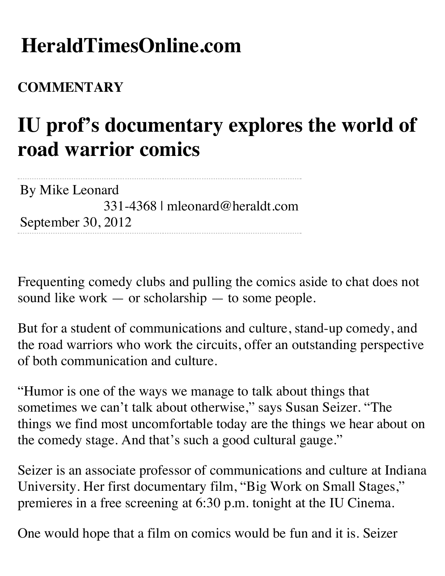## **HeraldTimesOnline.com**

## **COMMENTARY**

## **IU prof's documentary explores the world of road warrior comics**

By Mike Leonard 331-4368 | mleonard@heraldt.com September 30, 2012

Frequenting comedy clubs and pulling the comics aside to chat does not sound like work — or scholarship — to some people.

But for a student of communications and culture, stand-up comedy, and the road warriors who work the circuits, offer an outstanding perspective of both communication and culture.

"Humor is one of the ways we manage to talk about things that sometimes we can't talk about otherwise," says Susan Seizer. "The things we find most uncomfortable today are the things we hear about on the comedy stage. And that's such a good cultural gauge."

Seizer is an associate professor of communications and culture at Indiana University. Her first documentary film, "Big Work on Small Stages," premieres in a free screening at 6:30 p.m. tonight at the IU Cinema.

One would hope that a film on comics would be fun and it is. Seizer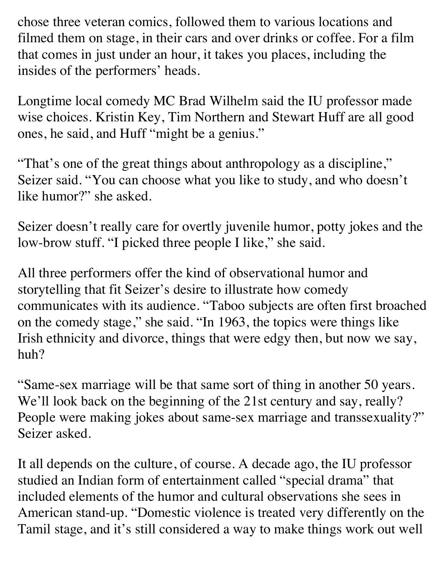chose three veteran comics, followed them to various locations and filmed them on stage, in their cars and over drinks or coffee. For a film that comes in just under an hour, it takes you places, including the insides of the performers' heads.

Longtime local comedy MC Brad Wilhelm said the IU professor made wise choices. Kristin Key, Tim Northern and Stewart Huff are all good ones, he said, and Huff "might be a genius."

"That's one of the great things about anthropology as a discipline," Seizer said. "You can choose what you like to study, and who doesn't like humor?" she asked.

Seizer doesn't really care for overtly juvenile humor, potty jokes and the low-brow stuff. "I picked three people I like," she said.

All three performers offer the kind of observational humor and storytelling that fit Seizer's desire to illustrate how comedy communicates with its audience. "Taboo subjects are often first broached on the comedy stage," she said. "In 1963, the topics were things like Irish ethnicity and divorce, things that were edgy then, but now we say, huh?

"Same-sex marriage will be that same sort of thing in another 50 years. We'll look back on the beginning of the 21st century and say, really? People were making jokes about same-sex marriage and transsexuality?" Seizer asked.

It all depends on the culture, of course. A decade ago, the IU professor studied an Indian form of entertainment called "special drama" that included elements of the humor and cultural observations she sees in American stand-up. "Domestic violence is treated very differently on the Tamil stage, and it's still considered a way to make things work out well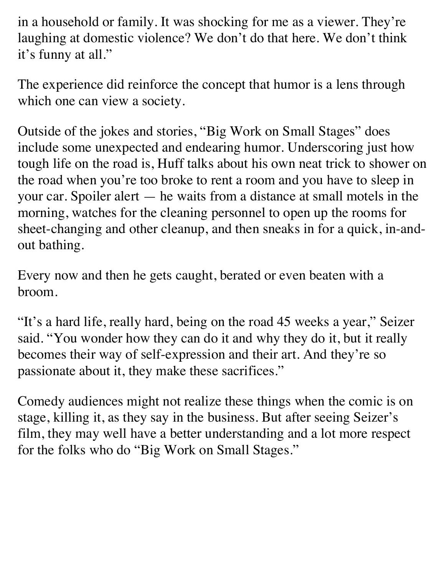in a household or family. It was shocking for me as a viewer. They're laughing at domestic violence? We don't do that here. We don't think it's funny at all."

The experience did reinforce the concept that humor is a lens through which one can view a society.

Outside of the jokes and stories, "Big Work on Small Stages" does include some unexpected and endearing humor. Underscoring just how tough life on the road is, Huff talks about his own neat trick to shower on the road when you're too broke to rent a room and you have to sleep in your car. Spoiler alert — he waits from a distance at small motels in the morning, watches for the cleaning personnel to open up the rooms for sheet-changing and other cleanup, and then sneaks in for a quick, in-andout bathing.

Every now and then he gets caught, berated or even beaten with a broom.

"It's a hard life, really hard, being on the road 45 weeks a year," Seizer said. "You wonder how they can do it and why they do it, but it really becomes their way of self-expression and their art. And they're so passionate about it, they make these sacrifices."

Comedy audiences might not realize these things when the comic is on stage, killing it, as they say in the business. But after seeing Seizer's film, they may well have a better understanding and a lot more respect for the folks who do "Big Work on Small Stages."